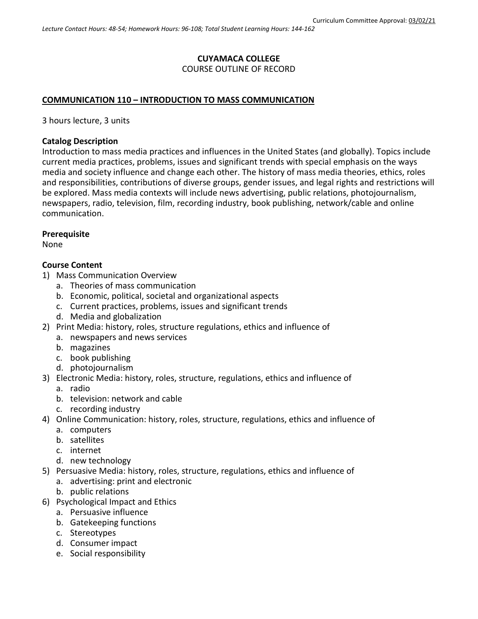#### **CUYAMACA COLLEGE** COURSE OUTLINE OF RECORD

## **COMMUNICATION 110 – INTRODUCTION TO MASS COMMUNICATION**

3 hours lecture, 3 units

#### **Catalog Description**

Introduction to mass media practices and influences in the United States (and globally). Topics include current media practices, problems, issues and significant trends with special emphasis on the ways media and society influence and change each other. The history of mass media theories, ethics, roles and responsibilities, contributions of diverse groups, gender issues, and legal rights and restrictions will be explored. Mass media contexts will include news advertising, public relations, photojournalism, newspapers, radio, television, film, recording industry, book publishing, network/cable and online communication.

#### **Prerequisite**

None

#### **Course Content**

- 1) Mass Communication Overview
	- a. Theories of mass communication
	- b. Economic, political, societal and organizational aspects
	- c. Current practices, problems, issues and significant trends
	- d. Media and globalization
- 2) Print Media: history, roles, structure regulations, ethics and influence of
	- a. newspapers and news services
	- b. magazines
	- c. book publishing
	- d. photojournalism
- 3) Electronic Media: history, roles, structure, regulations, ethics and influence of
	- a. radio
	- b. television: network and cable
	- c. recording industry
- 4) Online Communication: history, roles, structure, regulations, ethics and influence of
	- a. computers
	- b. satellites
	- c. internet
	- d. new technology
- 5) Persuasive Media: history, roles, structure, regulations, ethics and influence of
	- a. advertising: print and electronic
	- b. public relations
- 6) Psychological Impact and Ethics
	- a. Persuasive influence
	- b. Gatekeeping functions
	- c. Stereotypes
	- d. Consumer impact
	- e. Social responsibility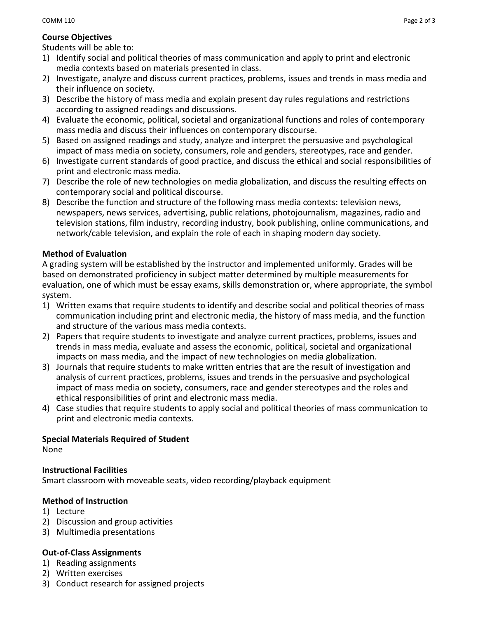# **Course Objectives**

Students will be able to:

- 1) Identify social and political theories of mass communication and apply to print and electronic media contexts based on materials presented in class.
- 2) Investigate, analyze and discuss current practices, problems, issues and trends in mass media and their influence on society.
- 3) Describe the history of mass media and explain present day rules regulations and restrictions according to assigned readings and discussions.
- 4) Evaluate the economic, political, societal and organizational functions and roles of contemporary mass media and discuss their influences on contemporary discourse.
- 5) Based on assigned readings and study, analyze and interpret the persuasive and psychological impact of mass media on society, consumers, role and genders, stereotypes, race and gender.
- 6) Investigate current standards of good practice, and discuss the ethical and social responsibilities of print and electronic mass media.
- 7) Describe the role of new technologies on media globalization, and discuss the resulting effects on contemporary social and political discourse.
- 8) Describe the function and structure of the following mass media contexts: television news, newspapers, news services, advertising, public relations, photojournalism, magazines, radio and television stations, film industry, recording industry, book publishing, online communications, and network/cable television, and explain the role of each in shaping modern day society.

# **Method of Evaluation**

A grading system will be established by the instructor and implemented uniformly. Grades will be based on demonstrated proficiency in subject matter determined by multiple measurements for evaluation, one of which must be essay exams, skills demonstration or, where appropriate, the symbol system.

- 1) Written exams that require students to identify and describe social and political theories of mass communication including print and electronic media, the history of mass media, and the function and structure of the various mass media contexts.
- 2) Papers that require students to investigate and analyze current practices, problems, issues and trends in mass media, evaluate and assess the economic, political, societal and organizational impacts on mass media, and the impact of new technologies on media globalization.
- 3) Journals that require students to make written entries that are the result of investigation and analysis of current practices, problems, issues and trends in the persuasive and psychological impact of mass media on society, consumers, race and gender stereotypes and the roles and ethical responsibilities of print and electronic mass media.
- 4) Case studies that require students to apply social and political theories of mass communication to print and electronic media contexts.

## **Special Materials Required of Student**

None

## **Instructional Facilities**

Smart classroom with moveable seats, video recording/playback equipment

## **Method of Instruction**

- 1) Lecture
- 2) Discussion and group activities
- 3) Multimedia presentations

## **Out-of-Class Assignments**

- 1) Reading assignments
- 2) Written exercises
- 3) Conduct research for assigned projects